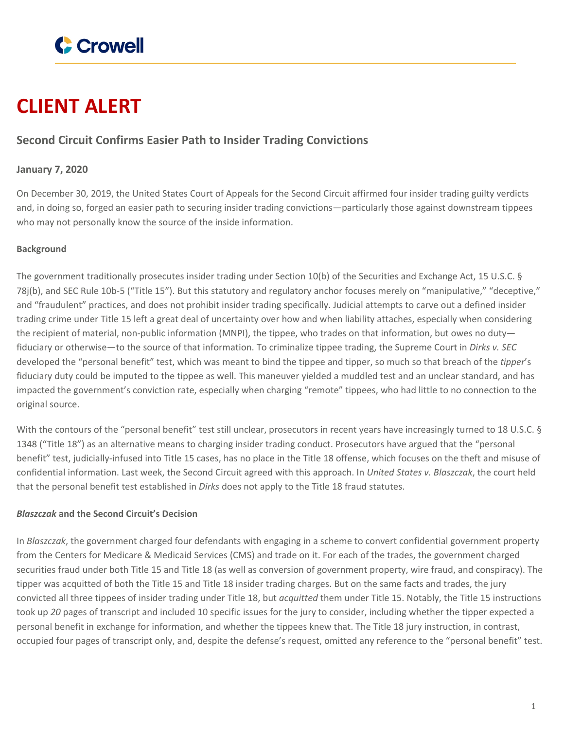

# **CLIENT ALERT**

## **Second Circuit Confirms Easier Path to Insider Trading Convictions**

### **January 7, 2020**

On December 30, 2019, the United States Court of Appeals for the Second Circuit affirmed four insider trading guilty verdicts and, in doing so, forged an easier path to securing insider trading convictions—particularly those against downstream tippees who may not personally know the source of the inside information.

#### **Background**

The government traditionally prosecutes insider trading under Section 10(b) of the Securities and Exchange Act, 15 U.S.C. § 78j(b), and SEC Rule 10b-5 ("Title 15"). But this statutory and regulatory anchor focuses merely on "manipulative," "deceptive," and "fraudulent" practices, and does not prohibit insider trading specifically. Judicial attempts to carve out a defined insider trading crime under Title 15 left a great deal of uncertainty over how and when liability attaches, especially when considering the recipient of material, non-public information (MNPI), the tippee, who trades on that information, but owes no duty fiduciary or otherwise—to the source of that information. To criminalize tippee trading, the Supreme Court in *Dirks v. SEC* developed the "personal benefit" test, which was meant to bind the tippee and tipper, so much so that breach of the *tipper*'s fiduciary duty could be imputed to the tippee as well. This maneuver yielded a muddled test and an unclear standard, and has impacted the government's conviction rate, especially when charging "remote" tippees, who had little to no connection to the original source.

With the contours of the "personal benefit" test still unclear, prosecutors in recent years have increasingly turned to 18 U.S.C. § 1348 ("Title 18") as an alternative means to charging insider trading conduct. Prosecutors have argued that the "personal benefit" test, judicially-infused into Title 15 cases, has no place in the Title 18 offense, which focuses on the theft and misuse of confidential information. Last week, the Second Circuit agreed with this approach. In *United States v. Blaszczak*, the court held that the personal benefit test established in *Dirks* does not apply to the Title 18 fraud statutes.

#### *Blaszczak* **and the Second Circuit's Decision**

In *Blaszczak*, the government charged four defendants with engaging in a scheme to convert confidential government property from the Centers for Medicare & Medicaid Services (CMS) and trade on it. For each of the trades, the government charged securities fraud under both Title 15 and Title 18 (as well as conversion of government property, wire fraud, and conspiracy). The tipper was acquitted of both the Title 15 and Title 18 insider trading charges. But on the same facts and trades, the jury convicted all three tippees of insider trading under Title 18, but *acquitted* them under Title 15. Notably, the Title 15 instructions took up *20* pages of transcript and included 10 specific issues for the jury to consider, including whether the tipper expected a personal benefit in exchange for information, and whether the tippees knew that. The Title 18 jury instruction, in contrast, occupied four pages of transcript only, and, despite the defense's request, omitted any reference to the "personal benefit" test.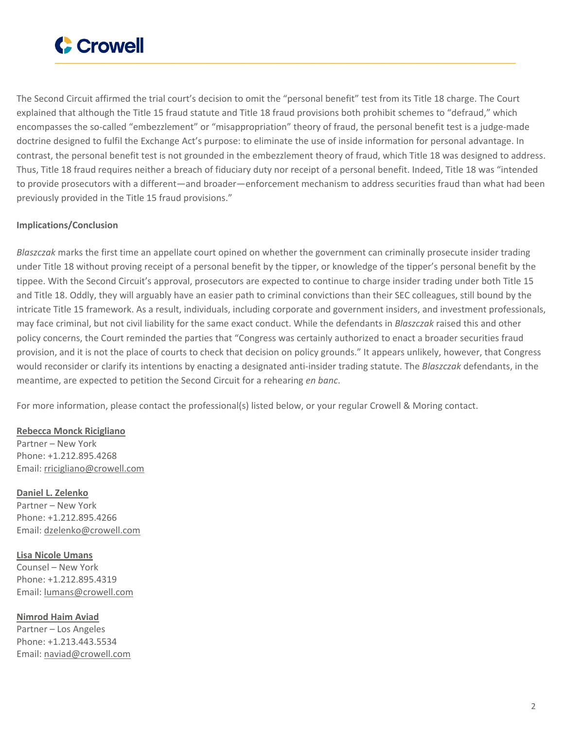

The Second Circuit affirmed the trial court's decision to omit the "personal benefit" test from its Title 18 charge. The Court explained that although the Title 15 fraud statute and Title 18 fraud provisions both prohibit schemes to "defraud," which encompasses the so-called "embezzlement" or "misappropriation" theory of fraud, the personal benefit test is a judge-made doctrine designed to fulfil the Exchange Act's purpose: to eliminate the use of inside information for personal advantage. In contrast, the personal benefit test is not grounded in the embezzlement theory of fraud, which Title 18 was designed to address. Thus, Title 18 fraud requires neither a breach of fiduciary duty nor receipt of a personal benefit. Indeed, Title 18 was "intended to provide prosecutors with a different—and broader—enforcement mechanism to address securities fraud than what had been previously provided in the Title 15 fraud provisions."

#### **Implications/Conclusion**

*Blaszczak* marks the first time an appellate court opined on whether the government can criminally prosecute insider trading under Title 18 without proving receipt of a personal benefit by the tipper, or knowledge of the tipper's personal benefit by the tippee. With the Second Circuit's approval, prosecutors are expected to continue to charge insider trading under both Title 15 and Title 18. Oddly, they will arguably have an easier path to criminal convictions than their SEC colleagues, still bound by the intricate Title 15 framework. As a result, individuals, including corporate and government insiders, and investment professionals, may face criminal, but not civil liability for the same exact conduct. While the defendants in *Blaszczak* raised this and other policy concerns, the Court reminded the parties that "Congress was certainly authorized to enact a broader securities fraud provision, and it is not the place of courts to check that decision on policy grounds." It appears unlikely, however, that Congress would reconsider or clarify its intentions by enacting a designated anti-insider trading statute. The *Blaszczak* defendants, in the meantime, are expected to petition the Second Circuit for a rehearing *en banc*.

For more information, please contact the professional(s) listed below, or your regular Crowell & Moring contact.

#### **Rebecca Monck [Ricigliano](https://www.crowell.com/professionals/Rebecca-Ricigliano)**

Partner – New York Phone: +1.212.895.4268 Email: [rricigliano@crowell.com](mailto:rricigliano@crowell.com)

**Daniel L. [Zelenko](https://www.crowell.com/professionals/Daniel-Zelenko)** Partner – New York Phone: +1.212.895.4266 Email: [dzelenko@crowell.com](mailto:dzelenko@crowell.com)

**Lisa Nicole [Umans](https://www.crowell.com/professionals/Lisa-Umans)** Counsel – New York

Phone: +1.212.895.4319 Email: [lumans@crowell.com](mailto:lumans@crowell.com)

**[Nimrod](https://www.crowell.com/professionals/Nimrod-Aviad) Haim Aviad** Partner – Los Angeles Phone: +1.213.443.5534 Email: [naviad@crowell.com](mailto:naviad@crowell.com)